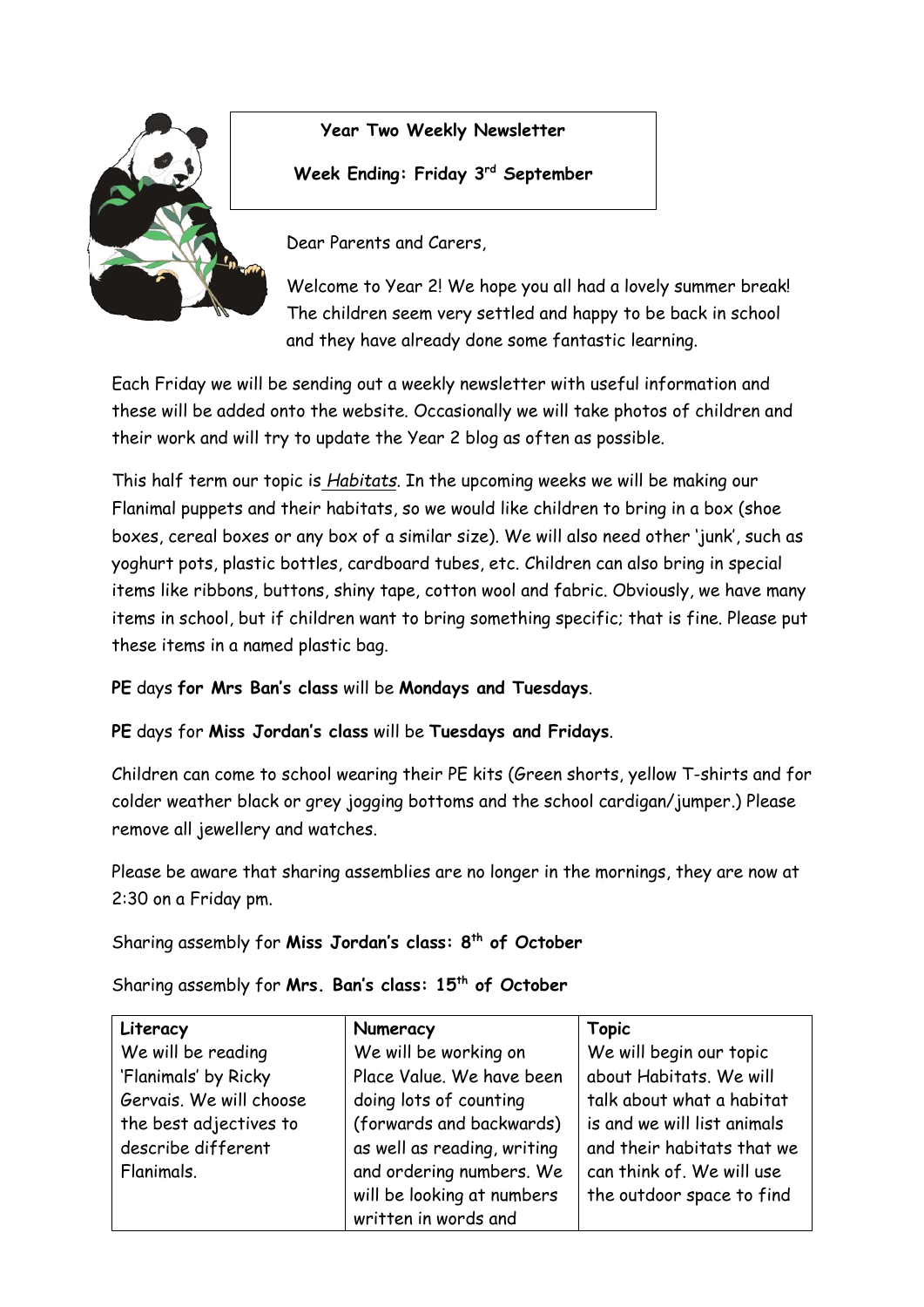

**Year Two Weekly Newsletter**

# **Week Ending: Friday 3rd September**

Dear Parents and Carers,

Welcome to Year 2! We hope you all had a lovely summer break! The children seem very settled and happy to be back in school and they have already done some fantastic learning.

Each Friday we will be sending out a weekly newsletter with useful information and these will be added onto the website. Occasionally we will take photos of children and their work and will try to update the Year 2 blog as often as possible.

This half term our topic is *Habitats*. In the upcoming weeks we will be making our Flanimal puppets and their habitats, so we would like children to bring in a box (shoe boxes, cereal boxes or any box of a similar size). We will also need other 'junk', such as yoghurt pots, plastic bottles, cardboard tubes, etc. Children can also bring in special items like ribbons, buttons, shiny tape, cotton wool and fabric. Obviously, we have many items in school, but if children want to bring something specific; that is fine. Please put these items in a named plastic bag.

# **PE** days **for Mrs Ban's class** will be **Mondays and Tuesdays**.

# **PE** days for **Miss Jordan's class** will be **Tuesdays and Fridays**.

Children can come to school wearing their PE kits (Green shorts, yellow T-shirts and for colder weather black or grey jogging bottoms and the school cardigan/jumper.) Please remove all jewellery and watches.

Please be aware that sharing assemblies are no longer in the mornings, they are now at 2:30 on a Friday pm.

Sharing assembly for **Miss Jordan's class: 8th of October**

Sharing assembly for **Mrs. Ban's class: 15th of October**

| Literacy                | Numeracy                    | <b>Topic</b>                |
|-------------------------|-----------------------------|-----------------------------|
| We will be reading      | We will be working on       | We will begin our topic     |
| 'Flanimals' by Ricky    | Place Value. We have been   | about Habitats, We will     |
| Gervais. We will choose | doing lots of counting      | talk about what a habitat   |
| the best adjectives to  | (forwards and backwards)    | is and we will list animals |
| describe different      | as well as reading, writing | and their habitats that we  |
| Flanimals.              | and ordering numbers. We    | can think of. We will use   |
|                         | will be looking at numbers  | the outdoor space to find   |
|                         | written in words and        |                             |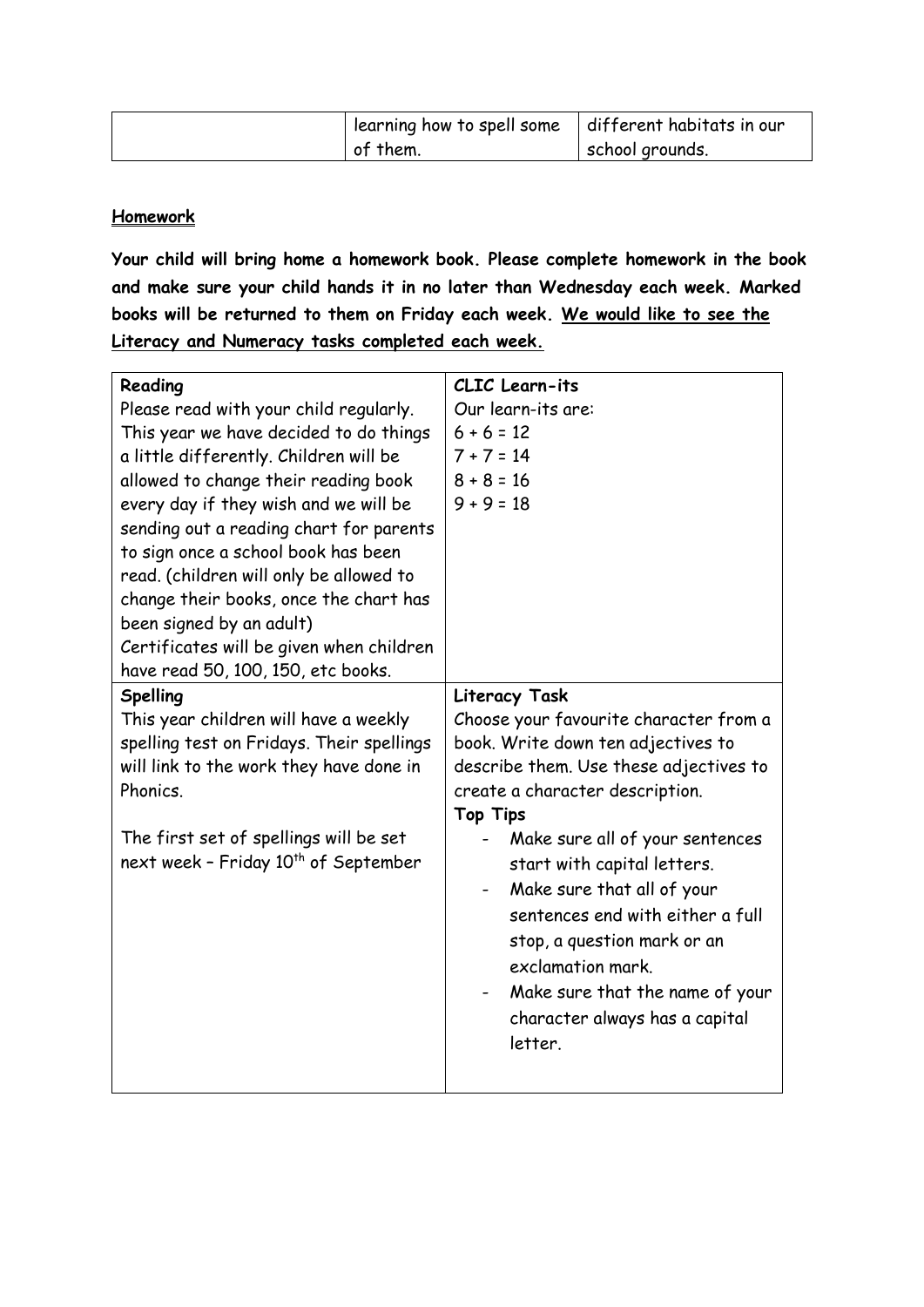| learning how to spell some | different habitats in our |
|----------------------------|---------------------------|
| of them.                   | school grounds.           |

# **Homework**

**Your child will bring home a homework book. Please complete homework in the book and make sure your child hands it in no later than Wednesday each week. Marked books will be returned to them on Friday each week. We would like to see the Literacy and Numeracy tasks completed each week.** 

| Reading                                          | CLIC Learn-its                         |
|--------------------------------------------------|----------------------------------------|
| Please read with your child regularly.           | Our learn-its are:                     |
| This year we have decided to do things           | $6 + 6 = 12$                           |
| a little differently. Children will be           | $7 + 7 = 14$                           |
| allowed to change their reading book             | $8 + 8 = 16$                           |
| every day if they wish and we will be            | $9 + 9 = 18$                           |
| sending out a reading chart for parents          |                                        |
| to sign once a school book has been              |                                        |
| read. (children will only be allowed to          |                                        |
| change their books, once the chart has           |                                        |
| been signed by an adult)                         |                                        |
| Certificates will be given when children         |                                        |
| have read 50, 100, 150, etc books.               |                                        |
| Spelling                                         | Literacy Task                          |
| This year children will have a weekly            | Choose your favourite character from a |
| spelling test on Fridays. Their spellings        | book. Write down ten adjectives to     |
| will link to the work they have done in          | describe them. Use these adjectives to |
| Phonics.                                         | create a character description.        |
|                                                  | <b>Top Tips</b>                        |
| The first set of spellings will be set           | Make sure all of your sentences        |
| next week - Friday 10 <sup>th</sup> of September | start with capital letters.            |
|                                                  | Make sure that all of your             |
|                                                  | sentences end with either a full       |
|                                                  | stop, a question mark or an            |
|                                                  | exclamation mark.                      |
|                                                  | Make sure that the name of your        |
|                                                  | character always has a capital         |
|                                                  | letter.                                |
|                                                  |                                        |
|                                                  |                                        |